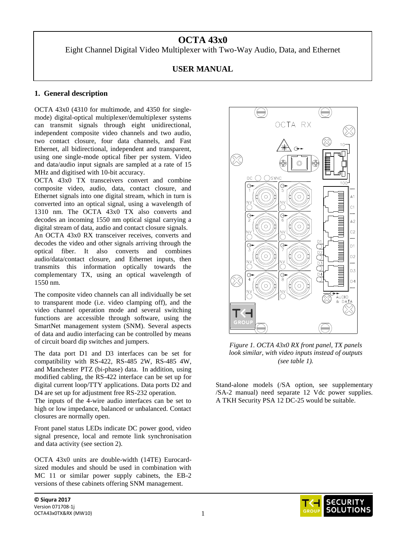# **OCTA 43x0**

Eight Channel Digital Video Multiplexer with Two-Way Audio, Data, and Ethernet

# **USER MANUAL**

# **1. General description**

OCTA 43x0 (4310 for multimode, and 4350 for singlemode) digital-optical multiplexer/demultiplexer systems can transmit signals through eight unidirectional, independent composite video channels and two audio, two contact closure, four data channels, and Fast Ethernet, all bidirectional, independent and transparent, using one single-mode optical fiber per system. Video and data/audio input signals are sampled at a rate of 15 MHz and digitised with 10-bit accuracy.

OCTA 43x0 TX transceivers convert and combine composite video, audio, data, contact closure, and Ethernet signals into one digital stream, which in turn is converted into an optical signal, using a wavelength of 1310 nm. The OCTA 43x0 TX also converts and decodes an incoming 1550 nm optical signal carrying a digital stream of data, audio and contact closure signals.

An OCTA 43x0 RX transceiver receives, converts and decodes the video and other signals arriving through the optical fiber. It also converts and combines audio/data/contact closure, and Ethernet inputs, then transmits this information optically towards the complementary TX, using an optical wavelength of 1550 nm.

The composite video channels can all individually be set to transparent mode (i.e. video clamping off), and the video channel operation mode and several switching functions are accessible through software, using the SmartNet management system (SNM). Several aspects of data and audio interfacing can be controlled by means of circuit board dip switches and jumpers.

The data port D1 and D3 interfaces can be set for compatibility with RS-422, RS-485 2W, RS-485 4W, and Manchester PTZ (bi-phase) data. In addition, using modified cabling, the RS-422 interface can be set up for digital current loop/TTY applications. Data ports D2 and D4 are set up for adjustment free RS-232 operation.

The inputs of the 4-wire audio interfaces can be set to high or low impedance, balanced or unbalanced. Contact closures are normally open.

Front panel status LEDs indicate DC power good, video signal presence, local and remote link synchronisation and data activity (see section 2).

OCTA 43x0 units are double-width (14TE) Eurocardsized modules and should be used in combination with MC 11 or similar power supply cabinets, the EB-2 versions of these cabinets offering SNM management.



*Figure 1. OCTA 43x0 RX front panel, TX panels look similar, with video inputs instead of outputs (see table 1).*

Stand-alone models (/SA option, see supplementary /SA-2 manual) need separate 12 Vdc power supplies. A TKH Security PSA 12 DC-25 would be suitable.

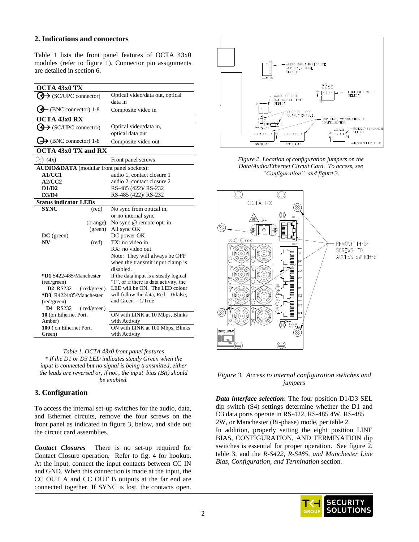# **2. Indications and connectors**

Table 1 lists the front panel features of OCTA 43x0 modules (refer to figure 1). Connector pin assignments are detailed in section 6.

| OCTA 43x0 TX                              |                                         |
|-------------------------------------------|-----------------------------------------|
| $\bigoplus$ (SC/UPC connector)            | Optical video/data out, optical         |
|                                           | data in                                 |
| $\bigoplus$ (BNC connector) 1-8           | Composite video in                      |
| OCTA $43x0$ RX                            |                                         |
| $\bigoplus$ (SC/UPC connector)            | Optical video/data in,                  |
|                                           | optical data out                        |
| $\bigoplus$ (BNC connector) 1-8           | Composite video out                     |
| <b>OCTA 43x0 TX and RX</b>                |                                         |
| $\lambda$ (4x)                            | Front panel screws                      |
| AUDIO&DATA (modular front panel sockets): |                                         |
| A1/CC1                                    | audio 1, contact closure 1              |
| A2/CC2                                    | audio 2, contact closure 2              |
| D1/D2                                     | RS-485 (422)/ RS-232                    |
| D3/D4                                     | RS-485 (422)/ RS-232                    |
| <b>Status indicator LEDs</b>              |                                         |
| <b>SYNC</b><br>$(\text{red})$             | No sync from optical in,                |
|                                           | or no internal sync                     |
| (orange)                                  | No sync @ remote opt. in                |
| (green)                                   | All sync OK                             |
| $DC$ (green)                              | DC power OK                             |
| N V<br>(red)                              | TX: no video in                         |
|                                           | RX: no video out                        |
|                                           | Note: They will always be OFF           |
|                                           | when the transmit input clamp is        |
|                                           | disabled.                               |
| *D1 S422/485/Manchester                   | If the data input is a steady logical   |
| (red/green)                               | "1", or if there is data activity, the  |
| <b>D2</b> RS232<br>(red/green)            | LED will be ON. The LED colour          |
| *D3 R4224/85/Manchester                   | will follow the data, $Red = 0$ /false, |
| (red/green)                               | and Green $= 1/T$ rue                   |
| <b>D4</b> RS232<br>(red/green)            |                                         |
| 10 (on Ethernet Port,                     | ON with LINK at 10 Mbps, Blinks         |
| Amber)                                    | with Activity                           |
| 100 (on Ethernet Port,                    | ON with LINK at 100 Mbps, Blinks        |
| Green)                                    | with Activity                           |

*Table 1. OCTA 43x0 front panel features \* If the D1 or D3 LED indicates steady Green when the input is connected but no signal is being transmitted, either the leads are reversed or, if not , the input bias (BR) should be enabled.*

## **3. Configuration**

To access the internal set-up switches for the audio, data, and Ethernet circuits, remove the four screws on the front panel as indicated in figure 3, below, and slide out the circuit card assemblies.

*Contact Closures* There is no set-up required for Contact Closure operation. Refer to fig. 4 for hookup. At the input, connect the input contacts between CC IN and GND. When this connection is made at the input, the CC OUT A and CC OUT B outputs at the far end are connected together. If SYNC is lost, the contacts open.



*Figure 2. Location of configuration jumpers on the Data/Audio/Ethernet Circuit Card. To access, see "Configuration", and figure 3.*



*Figure 3. Access to internal configuration switches and jumpers*

*Data interface selection*: The four position D1/D3 SEL dip switch (S4) settings determine whether the D1 and D3 data ports operate in RS-422, RS-485 4W, RS-485 2W, or Manchester (Bi-phase) mode, per table 2. In addition, properly setting the eight position LINE BIAS, CONFIGURATION, AND TERMINATION dip switches is essential for proper operation. See figure 2, table 3, and the *R-S422, R-S485, and Manchester Line Bias, Configuration, and Termination* section.

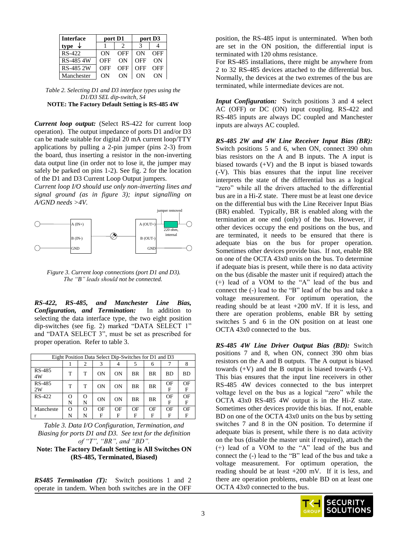| <b>Interface</b> | port D1 |     | port D <sub>3</sub> |     |  |
|------------------|---------|-----|---------------------|-----|--|
| type             |         |     |                     |     |  |
| $RS-422$         | ON      | OFF | ON                  | OFF |  |
| RS-485 4W        | OFF     | ΩN  | OFF                 | OΝ  |  |
| RS-485 2W        | OFF     | OFF | OFF                 | OFF |  |
| Manchester       | OΝ      | OΝ  | ON                  | OΝ  |  |

| Table 2. Selecting D1 and D3 interface types using the |
|--------------------------------------------------------|
| D1/D3 SEL dip-switch, S4                               |
| <b>NOTE: The Factory Default Setting is RS-485 4W</b>  |

*Current loop output:* (Select RS-422 for current loop operation). The output impedance of ports D1 and/or D3 can be made suitable for digital 20 mA current loop/TTY applications by pulling a 2-pin jumper (pins 2-3) from the board, thus inserting a resistor in the non-inverting data output line (in order not to lose it, the jumper may safely be parked on pins 1-2). See fig. 2 for the location of the D1 and D3 Current Loop Output jumpers.

*Current loop I/O should use only non-inverting lines and signal ground (as in figure 3); input signalling on A/GND needs >4V.*



*Figure 3. Current loop connections (port D1 and D3). The "B" leads should not be connected.*

*RS-422, RS-485, and Manchester Line Bias, Configuration, and Termination:* In addition to selecting the data interface type, the two eight position dip-switches (see fig. 2) marked "DATA SELECT 1" and "DATA SELECT 3", must be set as prescribed for proper operation. Refer to table 3.

| Eight Position Data Select Dip-Switches for D1 and D3 |        |               |    |    |           |           |           |           |
|-------------------------------------------------------|--------|---------------|----|----|-----------|-----------|-----------|-----------|
|                                                       |        |               | 3  |    | 5         | 6         |           |           |
| RS-485<br>4W                                          | т      | т             | ON | ON | <b>BR</b> | BR        | <b>BD</b> | <b>BD</b> |
| RS-485<br>2W                                          | т      | т             | ON | ON | <b>BR</b> | <b>BR</b> | OF<br>F   | OF<br>F   |
| $RS-422$                                              | Ω<br>N | $\Omega$<br>N | ON | ON | <b>BR</b> | <b>BR</b> | OF<br>F   | OF<br>F   |
| Mancheste                                             | Ω      | $\Omega$      | OF | OF | OF        | OF        | OF        | OF        |
|                                                       | N      | N             | F  | F  | F         | F         | F         | F         |

*Table 3. Data I/O Configuration, Termination, and Biasing for ports D1 and D3. See text for the definition of "T", "BR", and "BD".*

**Note: The Factory Default Setting is All Switches ON (RS-485, Terminated, Biased)** 

*RS485 Termination (T):* Switch positions 1 and 2 operate in tandem. When both switches are in the OFF position, the RS-485 input is unterminated. When both are set in the ON position, the differential input is terminated with 120 ohms resistance.

For RS-485 installations, there might be anywhere from 2 to 32 RS-485 devices attached to the differential bus. Normally, the devices at the two extremes of the bus are terminated, while intermediate devices are not.

*Input Configuration:* Switch positions 3 and 4 select AC (OFF) or DC (ON) input coupling. RS-422 and RS-485 inputs are always DC coupled and Manchester inputs are always AC coupled.

*RS-485 2W and 4W Line Receiver Input Bias (BR):* Switch positions 5 and 6, when ON, connect 390 ohm bias resistors on the A and B inputs. The A input is biased towards  $(+V)$  and the B input is biased towards (-V). This bias ensures that the input line receiver interprets the state of the differential bus as a logical "zero" while all the drivers attached to the differential bus are in a Hi-Z state. There must be at least one device on the differential bus with the Line Receiver Input Bias (BR) enabled. Typically, BR is enabled along with the termination at one end (only) of the bus. However, if other devices occupy the end positions on the bus, and are terminated, it needs to be ensured that there is adequate bias on the bus for proper operation. Sometimes other devices provide bias. If not, enable BR on one of the OCTA 43x0 units on the bus. To determine if adequate bias is present, while there is no data activity on the bus (disable the master unit if required) attach the (+) lead of a VOM to the "A" lead of the bus and connect the (-) lead to the "B" lead of the bus and take a voltage measurement. For optimum operation, the reading should be at least  $+200$  mV. If it is less, and there are operation problems, enable BR by setting switches 5 and 6 in the ON position on at least one OCTA 43x0 connected to the bus.

*RS-485 4W Line Driver Output Bias (BD):* Switch positions 7 and 8, when ON, connect 390 ohm bias resistors on the A and B outputs. The A output is biased towards (+V) and the B output is biased towards (-V). This bias ensures that the input line receivers in other RS-485 4W devices connected to the bus interpret voltage level on the bus as a logical "zero" while the OCTA 43x0 RS-485 4W output is in the Hi-Z state. Sometimes other devices provide this bias. If not, enable BD on one of the OCTA 43x0 units on the bus by setting switches 7 and 8 in the ON position. To determine if adequate bias is present, while there is no data activity on the bus (disable the master unit if required), attach the (+) lead of a VOM to the "A" lead of the bus and connect the (-) lead to the "B" lead of the bus and take a voltage measurement. For optimum operation, the reading should be at least  $+200$  mV. If it is less, and there are operation problems, enable BD on at least one OCTA 43x0 connected to the bus.

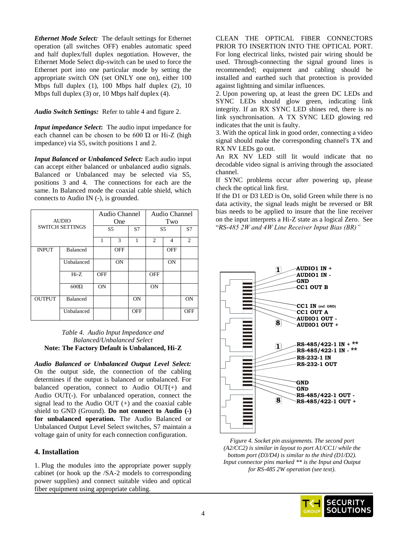*Ethernet Mode Select:* The default settings for Ethernet operation (all switches OFF) enables automatic speed and half duplex/full duplex negotiation. However, the Ethernet Mode Select dip-switch can be used to force the Ethernet port into one particular mode by setting the appropriate switch ON (set ONLY one on), either 100 Mbps full duplex (1), 100 Mbps half duplex (2), 10 Mbps full duplex (3) or, 10 Mbps half duplex (4).

*Audio Switch Settings:* Refer to table 4 and figure 2.

*Input impedance Select***:** The audio input impedance for each channel can be chosen to be  $600 \Omega$  or Hi-Z (high impedance) via S5, switch positions 1 and 2.

*Input Balanced or Unbalanced Select:* Each audio input can accept either balanced or unbalanced audio signals. Balanced or Unbalanced may be selected via S5, positions 3 and 4. The connections for each are the same. In Balanced mode the coaxial cable shield, which connects to Audio IN (-), is grounded.

| <b>AUDIO</b>  |                        | Audio Channel<br>One |            |            | Audio Channel<br>Two |                |                             |
|---------------|------------------------|----------------------|------------|------------|----------------------|----------------|-----------------------------|
|               | <b>SWITCH SETTINGS</b> |                      | S5         |            | S5                   |                | S7                          |
|               |                        | 1                    | 3          | 1          | 2                    | $\overline{4}$ | $\mathcal{D}_{\mathcal{L}}$ |
| <b>INPUT</b>  | <b>Balanced</b>        |                      | <b>OFF</b> |            |                      | <b>OFF</b>     |                             |
|               | Unbalanced             |                      | <b>ON</b>  |            |                      | <b>ON</b>      |                             |
|               | $Hi-Z$                 | <b>OFF</b>           |            |            | <b>OFF</b>           |                |                             |
|               | $600\Omega$            | <b>ON</b>            |            |            | <b>ON</b>            |                |                             |
| <b>OUTPUT</b> | Balanced               |                      |            | <b>ON</b>  |                      |                | <b>ON</b>                   |
|               | Unbalanced             |                      |            | <b>OFF</b> |                      |                | <b>OFF</b>                  |

### *Table 4. Audio Input Impedance and Balanced/Unbalanced Select* **Note: The Factory Default is Unbalanced, Hi-Z**

*Audio Balanced or Unbalanced Output Level Select:*  On the output side, the connection of the cabling determines if the output is balanced or unbalanced. For balanced operation, connect to Audio OUT(+) and Audio OUT(-). For unbalanced operation, connect the signal lead to the Audio OUT (+) and the coaxial cable shield to GND (Ground). **Do not connect to Audio (-) for unbalanced operation.** The Audio Balanced or Unbalanced Output Level Select switches, S7 maintain a voltage gain of unity for each connection configuration.

# **4. Installation**

1. Plug the modules into the appropriate power supply cabinet (or hook up the /SA-2 models to corresponding power supplies) and connect suitable video and optical fiber equipment using appropriate cabling.

CLEAN THE OPTICAL FIBER CONNECTORS PRIOR TO INSERTION INTO THE OPTICAL PORT. For long electrical links, twisted pair wiring should be used. Through-connecting the signal ground lines is recommended; equipment and cabling should be installed and earthed such that protection is provided against lightning and similar influences.

2. Upon powering up, at least the green DC LEDs and SYNC LEDs should glow green, indicating link integrity. If an RX SYNC LED shines red, there is no link synchronisation. A TX SYNC LED glowing red indicates that the unit is faulty.

3. With the optical link in good order, connecting a video signal should make the corresponding channel's TX and RX NV LEDs go out.

An RX NV LED still lit would indicate that no decodable video signal is arriving through the associated channel.

If SYNC problems occur after powering up, please check the optical link first.

If the D1 or D3 LED is On, solid Green while there is no data activity, the signal leads might be reversed or BR bias needs to be applied to insure that the line receiver on the input interprets a Hi-Z state as a logical Zero. See "*RS-485 2W and 4W Line Receiver Input Bias (BR)"*



*Figure 4. Socket pin assignments. The second port (A2/CC2) is similar in layout to port A1/CC1/ while the bottom port (D3/D4) is similar to the third (D1/D2). Input connector pins marked \*\* is the Input and Output for RS-485 2W operation (see text).*

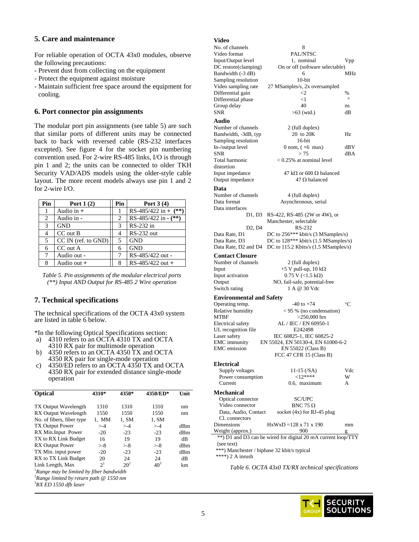# **5. Care and maintenance**

For reliable operation of OCTA 43x0 modules, observe the following precautions:

- Prevent dust from collecting on the equipment
- Protect the equipment against moisture
- Maintain sufficient free space around the equipment for cooling.

## **6. Port connector pin assignments**

The modular port pin assignments (see table 5) are such that similar ports of different units may be connected back to back with reversed cable (RS-232 interfaces excepted). See figure 4 for the socket pin numbering convention used. For 2-wire RS-485 links, I/O is through pin 1 and 2; the units can be connected to older TKH Security VAD/ADS models using the older-style cable layout. The more recent models always use pin 1 and 2 for 2-wire I/O.

| Pin | Port $1(2)$              | Pin | Port $3(4)$            |
|-----|--------------------------|-----|------------------------|
| 1   | Audio in $+$             |     | RS-485/422 in + $(**)$ |
| 2   | Audio in -               | 2   | RS-485/422 in $-(**)$  |
| 3   | <b>GND</b>               | 3   | RS-232 in              |
| 4   | CC out B                 |     | <b>RS-232 out</b>      |
| 5   | $CC IN$ (ref. to $GND$ ) | 5   | <b>GND</b>             |
| 6   | CC out A                 | 6   | <b>GND</b>             |
| 7   | Audio out -              |     | RS-485/422 out -       |
| 8   | Audio out +              |     | RS-485/422 out +       |

*Table 5. Pin assignments of the modular electrical ports (\*\*) Input AND Output for RS-485 2 Wire operation*

## **7. Technical specifications**

The technical specifications of the OCTA 43x0 system are listed in table 6 below.

\*In the following Optical Specifications section:

- a) 4310 refers to an OCTA 4310 TX and OCTA 4310 RX pair for multimode operation
- b) 4350 refers to an OCTA 4350 TX and OCTA 4350 RX pair for single-mode operation
- c) 4350/ED refers to an OCTA 4350 TX and OCTA 4350 RX pair for extended distance single-mode operation

| <b>Optical</b>                                             | 4310*  | 4350*    | 4350/ED* | Unit |  |  |
|------------------------------------------------------------|--------|----------|----------|------|--|--|
| <b>TX Output Wavelength</b>                                | 1310   | 1310     | 1310     | nm   |  |  |
| <b>RX</b> Output Wavelength                                | 1550   | 1550     | 1550     | nm   |  |  |
| No. of fibers, fiber type                                  | 1. MM  | 1, SM    | 1, SM    |      |  |  |
| <b>TX Output Power</b>                                     | $> -4$ | $> -4$   | $> -4$   | dBm  |  |  |
| RX Min. Input Power                                        | $-20$  | $-23$    | $-23$    | dBm  |  |  |
| TX to RX Link Budget                                       | 16     | 19       | 19       | dВ   |  |  |
| <b>RX</b> Output Power                                     | $> -8$ | $> -8$   | $> -8$   | dBm  |  |  |
| TX Min. input power                                        | $-20$  | $-23$    | $-23$    | dBm  |  |  |
| RX to TX Link Budget                                       | 20     | 24       | 24       | dB   |  |  |
| Link Length, Max                                           | $2^1$  | $20^{2}$ | $40^{3}$ | km   |  |  |
| <sup>1</sup> Range may be limited by fiber bandwidth       |        |          |          |      |  |  |
| <sup>2</sup> Range limited by return path $\omega$ 1550 nm |        |          |          |      |  |  |

<sup>3</sup>*RX ED 1550 dfb laser*

# **Video**

|                | v luco                                      |                                                               |                 |
|----------------|---------------------------------------------|---------------------------------------------------------------|-----------------|
|                | No. of channels                             | 8                                                             |                 |
| C              | Video format                                | PAL/NTSC                                                      |                 |
|                | Input/Output level                          | 1, nominal                                                    | Vpp             |
|                | DC restore(clamping)                        | On or off (software selectable)                               |                 |
|                | Bandwidth (-3 dB)                           | 6                                                             | MHz             |
|                | Sampling resolution                         | $10$ -bit                                                     |                 |
| r              | Video sampling rate                         | 27 MSamples/s, 2x oversampled                                 |                 |
|                | Differential gain                           | $\leq$                                                        | %               |
|                | Differential phase                          | $<$ 1                                                         | $\circ$         |
|                | Group delay                                 | 40                                                            |                 |
|                | <b>SNR</b>                                  |                                                               | ns              |
|                |                                             | $>63$ (wtd.)                                                  | dВ              |
|                | Audio                                       |                                                               |                 |
| ı              | Number of channels                          | 2 (full duplex)                                               |                 |
| ı              | Bandwidth, -3dB, typ                        | 20 to 20K                                                     | Hz              |
| S              | Sampling resolution                         | $16$ -bit                                                     |                 |
|                | In-/output level                            | $0$ nom, $(+6$ max)                                           | dBV             |
| 3              | <b>SNR</b>                                  | > 75                                                          | dBA             |
| ı              | Total harmonic                              | $< 0.25\%$ at nominal level                                   |                 |
| I              |                                             |                                                               |                 |
|                | distortion                                  |                                                               |                 |
| C              | Input impedance                             | 47 k $\Omega$ or 600 $\Omega$ balanced                        |                 |
| $\overline{2}$ | Output impedance                            | $47 \Omega$ balanced                                          |                 |
|                | Data                                        |                                                               |                 |
|                | Number of channels                          | 4 (full duplex)                                               |                 |
|                | Data format                                 | Asynchronous, serial                                          |                 |
|                | Data interfaces                             |                                                               |                 |
|                | D1, D3                                      | RS-422, RS-485 (2W or 4W), or                                 |                 |
|                |                                             |                                                               |                 |
|                |                                             | Manchester, selectable                                        |                 |
|                | D <sub>2</sub> , D <sub>4</sub>             | RS-232                                                        |                 |
|                | Data Rate, D1                               | DC to 256*** kbit/s (3 MSamples/s)                            |                 |
|                | Data Rate, D3                               | DC to 128*** kbit/s (1.5 MSamples/s)                          |                 |
|                | Data Rate, D2 and D4                        | DC to 115.2 Kbits/s (1.5 MSamples/s)                          |                 |
|                | <b>Contact Closure</b>                      |                                                               |                 |
|                | Number of channels                          | 2 (full duplex)                                               |                 |
|                |                                             |                                                               |                 |
|                | Input                                       | +5 V pull-up, $10 \text{ k}\Omega$                            |                 |
|                | Input activation                            | $0.75$ V (<1.5 kΩ)                                            |                 |
|                | Output                                      | NO, fail-safe, potential-free                                 |                 |
|                | Switch rating                               | 1 A @ 30 Vdc                                                  |                 |
|                | <b>Environmental and Safety</b>             |                                                               |                 |
|                | Operating temp.                             | $-40$ to $+74$                                                | $\rm ^{\circ}C$ |
|                | Relative humidity                           | < 95 % (no condensation)                                      |                 |
|                | MTBF                                        | $>250,000$ hrs                                                |                 |
|                | Electrical safety                           | AL / IEC / EN 60950-1                                         |                 |
|                | UL recognition file                         | E242498                                                       |                 |
|                | Laser safety                                | IEC 60825-1, IEC 60825-2                                      |                 |
|                | <b>EMC</b> immunity                         | EN 55024, EN 50130-4, EN 61000-6-2                            |                 |
|                | <b>EMC</b> emission                         |                                                               |                 |
|                |                                             | EN 55022 (Class B)                                            |                 |
|                |                                             | FCC 47 CFR 15 (Class B)                                       |                 |
|                | <b>Electrical</b>                           |                                                               |                 |
|                | Supply voltages                             | 11-15 (/SA)                                                   | Vdc             |
|                | Power consumption                           | ${<}12***$                                                    | W               |
|                | Current                                     | 0.6, maximum                                                  | A               |
|                |                                             |                                                               |                 |
|                | <b>Mechanical</b>                           |                                                               |                 |
|                | Optical connector                           | SC/UPC                                                        |                 |
|                | Video connector                             | BNC 75 $\Omega$                                               |                 |
|                | Data, Audio, Contact                        | socket $(4x)$ for RJ-45 plug                                  |                 |
|                | Cl. connectors                              |                                                               |                 |
|                | Dimensions                                  | $HxWxD = 128 \times 71 \times 190$                            | mm              |
|                | Weight (approx.)                            | 900                                                           | g               |
|                |                                             | **) D1 and D3 can be wired for digital 20 mA current loop/TTY |                 |
|                | (see text)                                  |                                                               |                 |
|                | ***) Manchester / biphase 32 kbit/s typical |                                                               |                 |
|                |                                             |                                                               |                 |

\*\*\*\*) 2 A inrush

*Table 6. OCTA 43x0 TX/RX technical specifications*

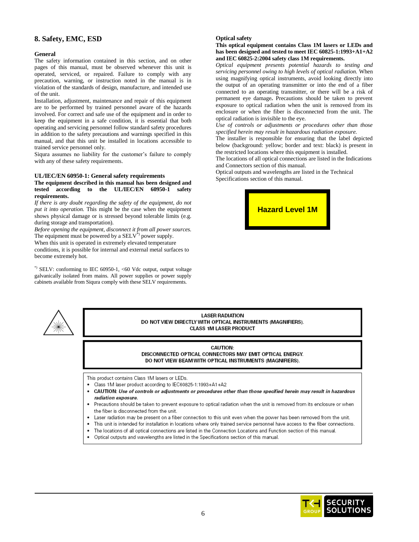# **8. Safety, EMC, ESD**

#### **General**

The safety information contained in this section, and on other pages of this manual, must be observed whenever this unit is operated, serviced, or repaired. Failure to comply with any precaution, warning, or instruction noted in the manual is in violation of the standards of design, manufacture, and intended use of the unit.

Installation, adjustment, maintenance and repair of this equipment are to be performed by trained personnel aware of the hazards involved. For correct and safe use of the equipment and in order to keep the equipment in a safe condition, it is essential that both operating and servicing personnel follow standard safety procedures in addition to the safety precautions and warnings specified in this manual, and that this unit be installed in locations accessible to trained service personnel only.

Siqura assumes no liability for the customer's failure to comply with any of these safety requirements.

#### **UL/IEC/EN 60950-1: General safety requirements**

#### **The equipment described in this manual has been designed and tested according to the UL/IEC/EN 60950-1 safety requirements.**

*If there is any doubt regarding the safety of the equipment, do not put it into operation.* This might be the case when the equipment shows physical damage or is stressed beyond tolerable limits (e.g. during storage and transportation).

*Before opening the equipment, disconnect it from all power sources.* The equipment must be powered by a  $SELV^*$  power supply.

When this unit is operated in extremely elevated temperature

conditions, it is possible for internal and external metal surfaces to become extremely hot.

 $*$ ) SELV: conforming to IEC 60950-1, <60 Vdc output, output voltage galvanically isolated from mains. All power supplies or power supply cabinets available from Siqura comply with these SELV requirements.

**Optical safety**

**This optical equipment contains Class 1M lasers or LEDs and has been designed and tested to meet IEC 60825-1:1993+A1+A2 and IEC 60825-2:2004 safety class 1M requirements.**

*Optical equipment presents potential hazards to testing and servicing personnel owing to high levels of optical radiation.* When using magnifying optical instruments, avoid looking directly into the output of an operating transmitter or into the end of a fiber connected to an operating transmitter, or there will be a risk of permanent eye damage**.** Precautions should be taken to prevent exposure to optical radiation when the unit is removed from its enclosure or when the fiber is disconnected from the unit. The optical radiation is invisible to the eye.

*Use of controls or adjustments or procedures other than those specified herein may result in hazardous radiation exposure.* 

The installer is responsible for ensuring that the label depicted below (background: yellow; border and text: black) is present in the restricted locations where this equipment is installed.

The locations of all optical connections are listed in the Indications and Connectors section of this manual.

Optical outputs and wavelengths are listed in the Technical Specifications section of this manual.





**LASER RADIATION** DO NOT VIEW DIRECTLY WITH OPTICAL INSTRUMENTS (MAGNIFIERS). **CLASS 1M LASER PRODUCT** 

#### **CAUTION:** DISCONNECTED OPTICAL CONNECTORS MAY EMIT OPTICAL ENERGY. DO NOT VIEW BEAM WITH OPTICAL INSTRUMENTS (MAGNIFIERS).

This product contains Class 1M lasers or LEDs.

- Class 1M laser product according to IEC60825-1:1993+A1+A2
- CAUTION: Use of controls or adjustments or procedures other than those specified herein may result in hazardous radiation exposure.
- Precautions should be taken to prevent exposure to optical radiation when the unit is removed from its enclosure or when the fiber is disconnected from the unit.
- Laser radiation may be present on a fiber connection to this unit even when the power has been removed from the unit.
- . This unit is intended for installation in locations where only trained service personnel have access to the fiber connections.
- The locations of all optical connections are listed in the Connection Locations and Function section of this manual.
- Optical outputs and wavelengths are listed in the Specifications section of this manual.